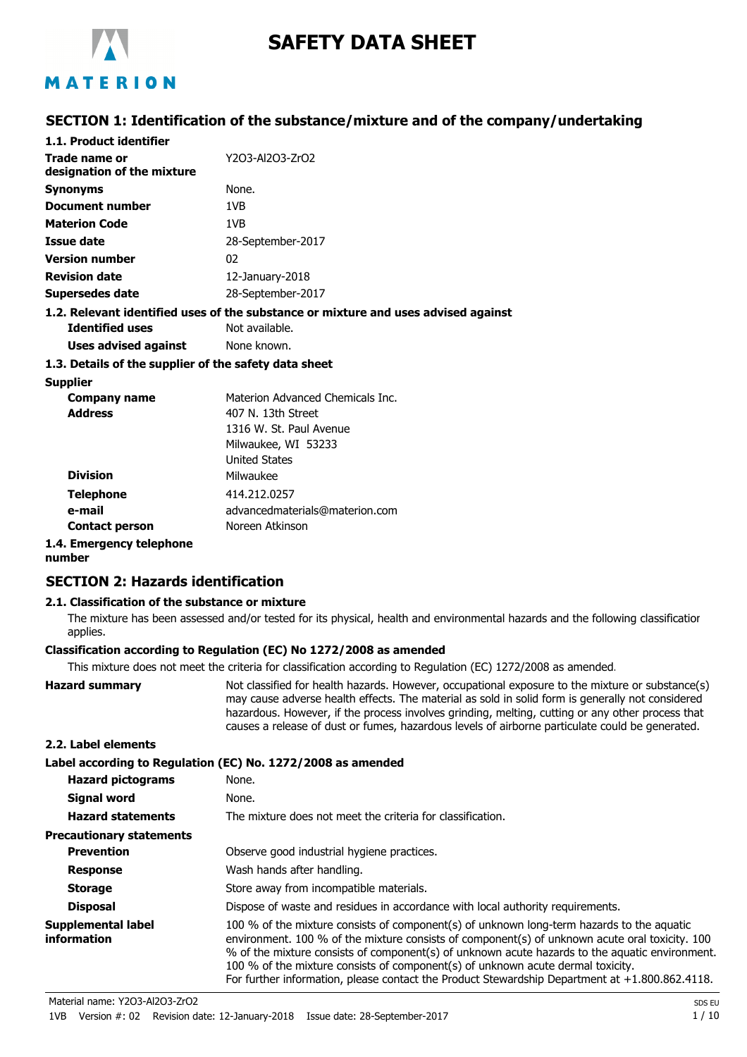

# **SAFETY DATA SHEET**

# MATERION

# **SECTION 1: Identification of the substance/mixture and of the company/undertaking**

| 1.1. Product identifier                               |                                                                                    |
|-------------------------------------------------------|------------------------------------------------------------------------------------|
| Trade name or<br>designation of the mixture           | Y2O3-Al2O3-ZrO2                                                                    |
| <b>Synonyms</b>                                       | None.                                                                              |
| Document number                                       | 1VB                                                                                |
| <b>Materion Code</b>                                  | 1VB                                                                                |
| Issue date                                            | 28-September-2017                                                                  |
| <b>Version number</b>                                 | 02                                                                                 |
| <b>Revision date</b>                                  | 12-January-2018                                                                    |
| Supersedes date                                       | 28-September-2017                                                                  |
|                                                       | 1.2. Relevant identified uses of the substance or mixture and uses advised against |
| <b>Identified uses</b>                                | Not available.                                                                     |
| Uses advised against                                  | None known.                                                                        |
| 1.3. Details of the supplier of the safety data sheet |                                                                                    |
| <b>Supplier</b>                                       |                                                                                    |

| <b>Company name</b><br><b>Address</b> | Materion Advanced Chemicals Inc.<br>407 N. 13th Street<br>1316 W. St. Paul Avenue<br>Milwaukee, WI 53233 |
|---------------------------------------|----------------------------------------------------------------------------------------------------------|
| <b>Division</b>                       | <b>United States</b><br>Milwaukee                                                                        |
| <b>Telephone</b><br>e-mail            | 414.212.0257<br>advancedmaterials@materion.com                                                           |
| <b>Contact person</b>                 | Noreen Atkinson                                                                                          |

#### **1.4. Emergency telephone**

**number**

# **SECTION 2: Hazards identification**

#### **2.1. Classification of the substance or mixture**

The mixture has been assessed and/or tested for its physical, health and environmental hazards and the following classification applies.

#### **Classification according to Regulation (EC) No 1272/2008 as amended**

This mixture does not meet the criteria for classification according to Regulation (EC) 1272/2008 as amended.

**Hazard summary** Not classified for health hazards. However, occupational exposure to the mixture or substance(s) may cause adverse health effects. The material as sold in solid form is generally not considered hazardous. However, if the process involves grinding, melting, cutting or any other process that causes a release of dust or fumes, hazardous levels of airborne particulate could be generated.

#### **2.2. Label elements**

|                                   | Label according to Regulation (EC) No. 1272/2008 as amended                                                                                                                                                                                                                                                                                                                                                                                                                        |
|-----------------------------------|------------------------------------------------------------------------------------------------------------------------------------------------------------------------------------------------------------------------------------------------------------------------------------------------------------------------------------------------------------------------------------------------------------------------------------------------------------------------------------|
| <b>Hazard pictograms</b>          | None.                                                                                                                                                                                                                                                                                                                                                                                                                                                                              |
| Signal word                       | None.                                                                                                                                                                                                                                                                                                                                                                                                                                                                              |
| <b>Hazard statements</b>          | The mixture does not meet the criteria for classification.                                                                                                                                                                                                                                                                                                                                                                                                                         |
| <b>Precautionary statements</b>   |                                                                                                                                                                                                                                                                                                                                                                                                                                                                                    |
| <b>Prevention</b>                 | Observe good industrial hygiene practices.                                                                                                                                                                                                                                                                                                                                                                                                                                         |
| <b>Response</b>                   | Wash hands after handling.                                                                                                                                                                                                                                                                                                                                                                                                                                                         |
| <b>Storage</b>                    | Store away from incompatible materials.                                                                                                                                                                                                                                                                                                                                                                                                                                            |
| <b>Disposal</b>                   | Dispose of waste and residues in accordance with local authority requirements.                                                                                                                                                                                                                                                                                                                                                                                                     |
| Supplemental label<br>information | 100 % of the mixture consists of component(s) of unknown long-term hazards to the aquatic<br>environment. 100 % of the mixture consists of component(s) of unknown acute oral toxicity. 100<br>% of the mixture consists of component(s) of unknown acute hazards to the aquatic environment.<br>100 % of the mixture consists of component(s) of unknown acute dermal toxicity.<br>For further information, please contact the Product Stewardship Department at +1.800.862.4118. |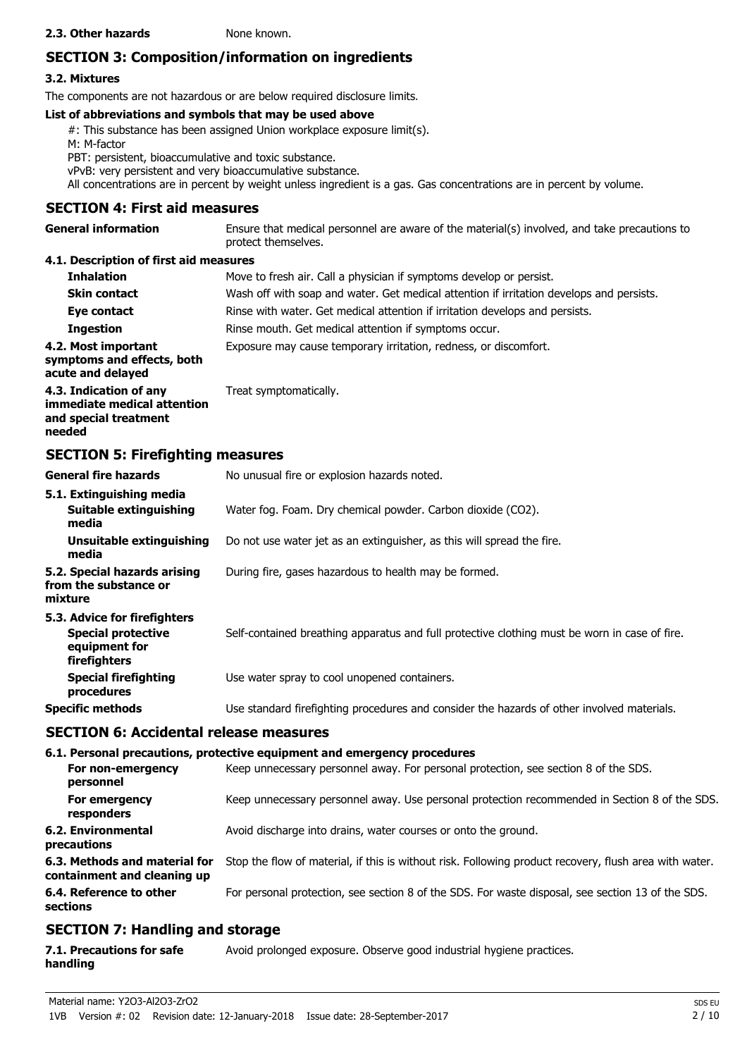#### **2.3. Other hazards** None known.

# **SECTION 3: Composition/information on ingredients**

# **3.2. Mixtures**

The components are not hazardous or are below required disclosure limits.

# **List of abbreviations and symbols that may be used above**

#: This substance has been assigned Union workplace exposure limit(s). M: M-factor PBT: persistent, bioaccumulative and toxic substance. vPvB: very persistent and very bioaccumulative substance. All concentrations are in percent by weight unless ingredient is a gas. Gas concentrations are in percent by volume.

# **SECTION 4: First aid measures**

Ensure that medical personnel are aware of the material(s) involved, and take precautions to protect themselves. **General information 4.1. Description of first aid measures**

| <b>Inhalation</b>                                                                        | Move to fresh air. Call a physician if symptoms develop or persist.                      |
|------------------------------------------------------------------------------------------|------------------------------------------------------------------------------------------|
| <b>Skin contact</b>                                                                      | Wash off with soap and water. Get medical attention if irritation develops and persists. |
| Eye contact                                                                              | Rinse with water. Get medical attention if irritation develops and persists.             |
| <b>Ingestion</b>                                                                         | Rinse mouth. Get medical attention if symptoms occur.                                    |
| 4.2. Most important<br>symptoms and effects, both<br>acute and delayed                   | Exposure may cause temporary irritation, redness, or discomfort.                         |
| 4.3. Indication of any<br>immediate medical attention<br>and special treatment<br>needed | Treat symptomatically.                                                                   |

# **SECTION 5: Firefighting measures**

| <b>General fire hazards</b>                                                                | No unusual fire or explosion hazards noted.                                                   |
|--------------------------------------------------------------------------------------------|-----------------------------------------------------------------------------------------------|
| 5.1. Extinguishing media<br>Suitable extinguishing<br>media                                | Water fog. Foam. Dry chemical powder. Carbon dioxide (CO2).                                   |
| Unsuitable extinguishing<br>media                                                          | Do not use water jet as an extinguisher, as this will spread the fire.                        |
| 5.2. Special hazards arising<br>from the substance or<br>mixture                           | During fire, gases hazardous to health may be formed.                                         |
| 5.3. Advice for firefighters<br><b>Special protective</b><br>equipment for<br>firefighters | Self-contained breathing apparatus and full protective clothing must be worn in case of fire. |
| <b>Special firefighting</b><br>procedures                                                  | Use water spray to cool unopened containers.                                                  |
| <b>Specific methods</b>                                                                    | Use standard firefighting procedures and consider the hazards of other involved materials.    |

# **SECTION 6: Accidental release measures**

# **6.1. Personal precautions, protective equipment and emergency procedures**

| For non-emergency<br>personnel                               | Keep unnecessary personnel away. For personal protection, see section 8 of the SDS.                    |
|--------------------------------------------------------------|--------------------------------------------------------------------------------------------------------|
| For emergency<br>responders                                  | Keep unnecessary personnel away. Use personal protection recommended in Section 8 of the SDS.          |
| 6.2. Environmental<br>precautions                            | Avoid discharge into drains, water courses or onto the ground.                                         |
| 6.3. Methods and material for<br>containment and cleaning up | Stop the flow of material, if this is without risk. Following product recovery, flush area with water. |
| 6.4. Reference to other<br>sections                          | For personal protection, see section 8 of the SDS. For waste disposal, see section 13 of the SDS.      |
|                                                              |                                                                                                        |

# **SECTION 7: Handling and storage**

| 7.1. Precautions for safe | Avoid prolonged exposure. Observe good industrial hygiene practices. |
|---------------------------|----------------------------------------------------------------------|
| handling                  |                                                                      |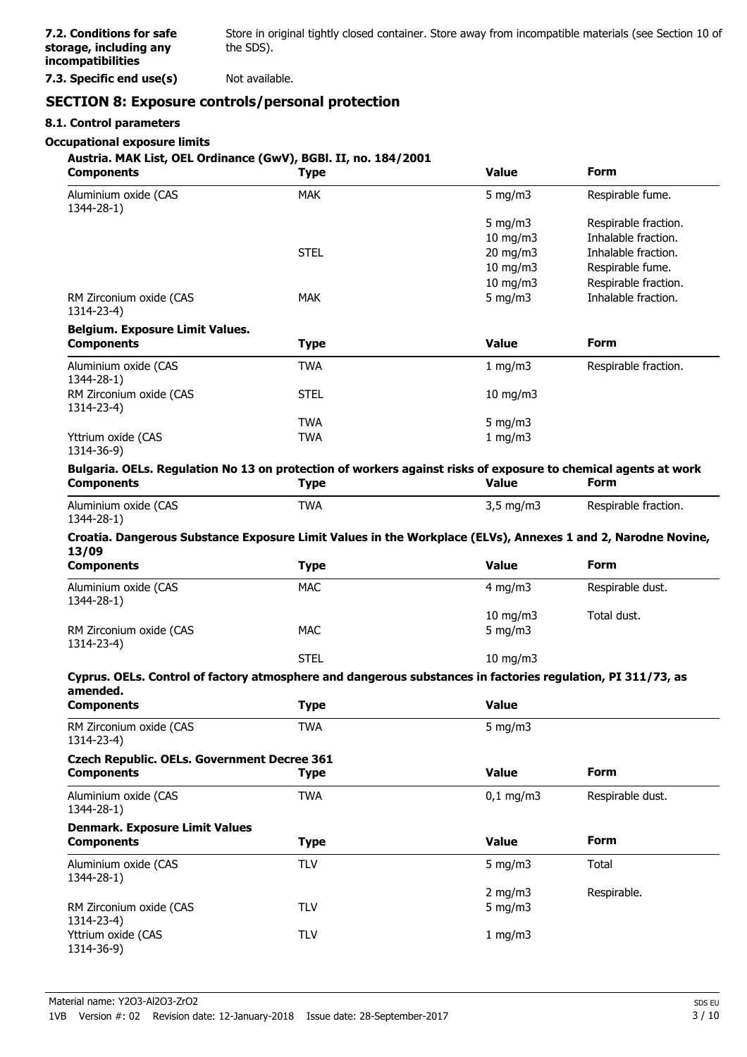Store in original tightly closed container. Store away from incompatible materials (see Section 10 of the SDS).

**7.3. Specific end use(s)** Not available.

# **SECTION 8: Exposure controls/personal protection**

#### **8.1. Control parameters**

#### **Occupational exposure limits**

#### **Austria. MAK List, OEL Ordinance (GwV), BGBl. II, no. 184/2001**

| <b>Components</b>                                                                                              | Type        | <b>Value</b>  | <b>Form</b>          |
|----------------------------------------------------------------------------------------------------------------|-------------|---------------|----------------------|
| Aluminium oxide (CAS<br>1344-28-1)                                                                             | <b>MAK</b>  | 5 mg/m $3$    | Respirable fume.     |
|                                                                                                                |             | 5 mg/m $3$    | Respirable fraction. |
|                                                                                                                |             | 10 mg/m3      | Inhalable fraction.  |
|                                                                                                                | <b>STEL</b> | 20 mg/m3      | Inhalable fraction.  |
|                                                                                                                |             | $10$ mg/m $3$ | Respirable fume.     |
|                                                                                                                |             | 10 mg/m $3$   | Respirable fraction. |
| RM Zirconium oxide (CAS<br>1314-23-4)                                                                          | <b>MAK</b>  | 5 mg/m $3$    | Inhalable fraction.  |
| <b>Belgium. Exposure Limit Values.</b>                                                                         |             |               |                      |
| <b>Components</b>                                                                                              | Type        | <b>Value</b>  | <b>Form</b>          |
| Aluminium oxide (CAS<br>1344-28-1)                                                                             | <b>TWA</b>  | 1 mg/m $3$    | Respirable fraction. |
| RM Zirconium oxide (CAS<br>1314-23-4)                                                                          | <b>STEL</b> | $10$ mg/m $3$ |                      |
|                                                                                                                | <b>TWA</b>  | 5 mg/m $3$    |                      |
| Yttrium oxide (CAS<br>1314-36-9)                                                                               | TWA         | 1 mg/m $3$    |                      |
| Bulgaria. OELs. Regulation No 13 on protection of workers against risks of exposure to chemical agents at work |             |               |                      |
| <b>Components</b>                                                                                              | <b>Type</b> | <b>Value</b>  | <b>Form</b>          |

| Aluminium oxide (CAS | <b>TWA</b> | $3,5 \text{ mg/m}$ | Respirable fraction. |
|----------------------|------------|--------------------|----------------------|
| 1344-28-1)           |            |                    |                      |

#### **Croatia. Dangerous Substance Exposure Limit Values in the Workplace (ELVs), Annexes 1 and 2, Narodne Novine, 13/09**

| <b>Components</b>                     | Type        | <b>Value</b>              | <b>Form</b>      |
|---------------------------------------|-------------|---------------------------|------------------|
| Aluminium oxide (CAS<br>1344-28-1)    | <b>MAC</b>  | $4 \text{ mg/m}$          | Respirable dust. |
| RM Zirconium oxide (CAS<br>1314-23-4) | MAC         | 10 mg/m $3$<br>5 mg/m $3$ | Total dust.      |
|                                       | <b>STEL</b> | $10$ mg/m $3$             |                  |

#### **Cyprus. OELs. Control of factory atmosphere and dangerous substances in factories regulation, PI 311/73, as amended.**

| amenueu.<br><b>Components</b>                                           | <b>Type</b> | <b>Value</b> |                  |
|-------------------------------------------------------------------------|-------------|--------------|------------------|
| RM Zirconium oxide (CAS<br>1314-23-4)                                   | <b>TWA</b>  | 5 mg/m $3$   |                  |
| <b>Czech Republic. OELs. Government Decree 361</b><br><b>Components</b> | <b>Type</b> | <b>Value</b> | <b>Form</b>      |
| Aluminium oxide (CAS<br>1344-28-1)                                      | <b>TWA</b>  | $0,1$ mg/m3  | Respirable dust. |
| <b>Denmark. Exposure Limit Values</b><br><b>Components</b>              | <b>Type</b> | <b>Value</b> | <b>Form</b>      |
| Aluminium oxide (CAS<br>$1344 - 28 - 1$                                 | <b>TLV</b>  | 5 mg/m $3$   | Total            |
|                                                                         |             | 2 mg/m $3$   | Respirable.      |
| RM Zirconium oxide (CAS<br>1314-23-4)                                   | <b>TLV</b>  | 5 mg/m $3$   |                  |
| Yttrium oxide (CAS<br>1314-36-9)                                        | TLV         | 1 mg/m $3$   |                  |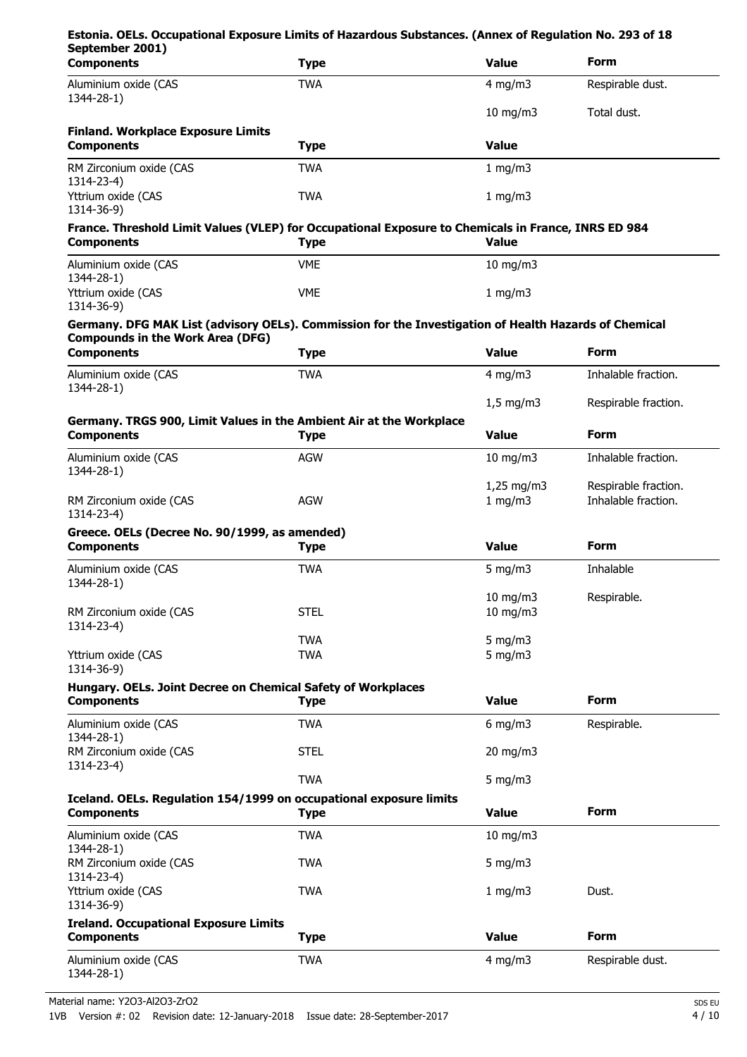| Estonia. OELs. Occupational Exposure Limits of Hazardous Substances. (Annex of Regulation No. 293 of 18<br>September 2001)                       |             |                          |                                             |
|--------------------------------------------------------------------------------------------------------------------------------------------------|-------------|--------------------------|---------------------------------------------|
| <b>Components</b>                                                                                                                                | <b>Type</b> | <b>Value</b>             | <b>Form</b>                                 |
| Aluminium oxide (CAS                                                                                                                             | <b>TWA</b>  | $4$ mg/m $3$             | Respirable dust.                            |
| 1344-28-1)                                                                                                                                       |             | $10$ mg/m $3$            | Total dust.                                 |
| <b>Finland. Workplace Exposure Limits</b><br><b>Components</b>                                                                                   | <b>Type</b> | <b>Value</b>             |                                             |
| RM Zirconium oxide (CAS                                                                                                                          | <b>TWA</b>  | 1 mg/m3                  |                                             |
| 1314-23-4)<br>Yttrium oxide (CAS                                                                                                                 | <b>TWA</b>  | 1 mg/m3                  |                                             |
| 1314-36-9)<br>France. Threshold Limit Values (VLEP) for Occupational Exposure to Chemicals in France, INRS ED 984<br><b>Components</b>           | <b>Type</b> | <b>Value</b>             |                                             |
|                                                                                                                                                  | <b>VME</b>  |                          |                                             |
| Aluminium oxide (CAS<br>1344-28-1)<br>Yttrium oxide (CAS                                                                                         | <b>VME</b>  | $10$ mg/m $3$<br>1 mg/m3 |                                             |
| 1314-36-9)                                                                                                                                       |             |                          |                                             |
| Germany. DFG MAK List (advisory OELs). Commission for the Investigation of Health Hazards of Chemical<br><b>Compounds in the Work Area (DFG)</b> |             |                          |                                             |
| <b>Components</b>                                                                                                                                | <b>Type</b> | <b>Value</b>             | <b>Form</b>                                 |
| Aluminium oxide (CAS<br>1344-28-1)                                                                                                               | <b>TWA</b>  | 4 mg/m $3$               | Inhalable fraction.                         |
|                                                                                                                                                  |             | $1,5$ mg/m3              | Respirable fraction.                        |
| Germany. TRGS 900, Limit Values in the Ambient Air at the Workplace<br><b>Components</b>                                                         | <b>Type</b> | <b>Value</b>             | <b>Form</b>                                 |
| Aluminium oxide (CAS<br>1344-28-1)                                                                                                               | <b>AGW</b>  | $10$ mg/m $3$            | Inhalable fraction.                         |
| RM Zirconium oxide (CAS<br>1314-23-4)                                                                                                            | <b>AGW</b>  | $1,25$ mg/m3<br>1 mg/m3  | Respirable fraction.<br>Inhalable fraction. |
| Greece. OELs (Decree No. 90/1999, as amended)<br><b>Components</b>                                                                               | <b>Type</b> | <b>Value</b>             | <b>Form</b>                                 |
| Aluminium oxide (CAS                                                                                                                             | <b>TWA</b>  | 5 mg/m $3$               | Inhalable                                   |
| 1344-28-1)                                                                                                                                       |             | 10 mg/m3                 | Respirable.                                 |
| RM Zirconium oxide (CAS<br>1314-23-4)                                                                                                            | <b>STEL</b> | $10$ mg/m $3$            |                                             |
|                                                                                                                                                  | <b>TWA</b>  | $5$ mg/m $3$             |                                             |
| Yttrium oxide (CAS<br>1314-36-9)                                                                                                                 | <b>TWA</b>  | $5$ mg/m $3$             |                                             |
| Hungary. OELs. Joint Decree on Chemical Safety of Workplaces<br><b>Components</b>                                                                | <b>Type</b> | <b>Value</b>             | <b>Form</b>                                 |
| Aluminium oxide (CAS                                                                                                                             | <b>TWA</b>  | $6$ mg/m $3$             | Respirable.                                 |
| 1344-28-1)<br>RM Zirconium oxide (CAS                                                                                                            | <b>STEL</b> | 20 mg/m3                 |                                             |
| 1314-23-4)                                                                                                                                       | <b>TWA</b>  | 5 mg/m $3$               |                                             |
| Iceland. OELs. Regulation 154/1999 on occupational exposure limits                                                                               |             |                          |                                             |
| <b>Components</b>                                                                                                                                | <b>Type</b> | <b>Value</b>             | <b>Form</b>                                 |
| Aluminium oxide (CAS<br>1344-28-1)                                                                                                               | <b>TWA</b>  | 10 mg/m3                 |                                             |
| RM Zirconium oxide (CAS<br>1314-23-4)                                                                                                            | <b>TWA</b>  | 5 mg/m $3$               |                                             |
| Yttrium oxide (CAS<br>1314-36-9)                                                                                                                 | <b>TWA</b>  | 1 mg/m3                  | Dust.                                       |
| <b>Ireland. Occupational Exposure Limits</b><br><b>Components</b>                                                                                | <b>Type</b> | <b>Value</b>             | <b>Form</b>                                 |
|                                                                                                                                                  |             |                          |                                             |
| Aluminium oxide (CAS<br>1344-28-1)                                                                                                               | <b>TWA</b>  | $4$ mg/m $3$             | Respirable dust.                            |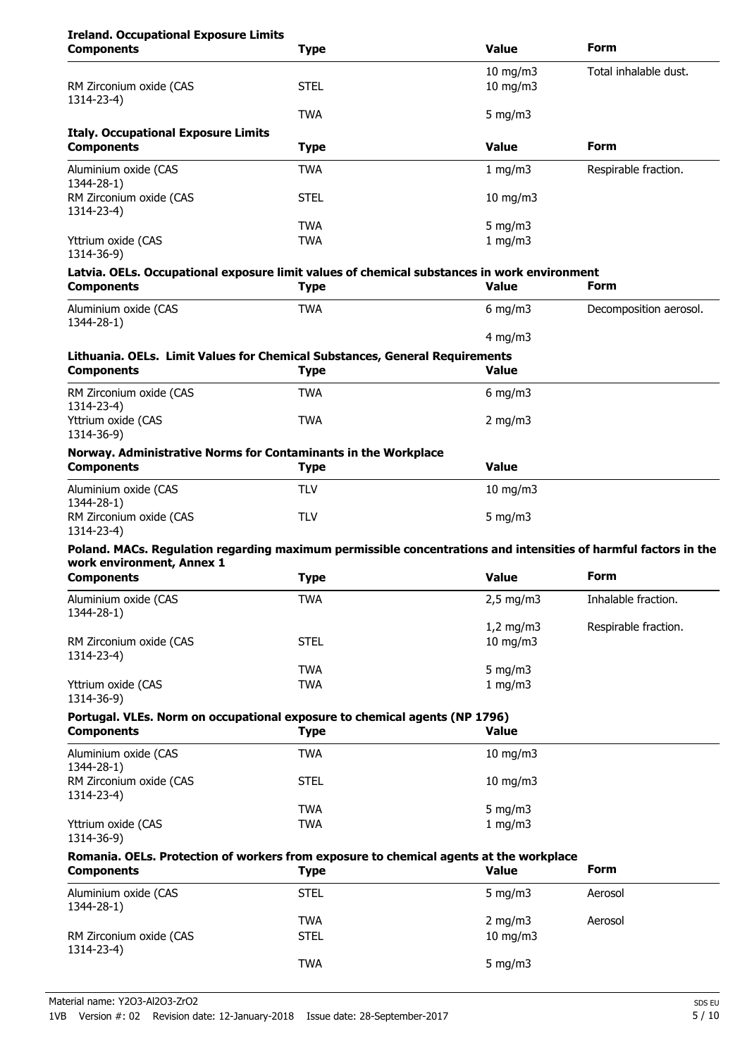# **Ireland. Occupational Exposure Limits**

| <b>Components</b>                                                                                               | Type        | <b>Value</b>      | <b>Form</b>            |
|-----------------------------------------------------------------------------------------------------------------|-------------|-------------------|------------------------|
|                                                                                                                 |             | $10$ mg/m $3$     | Total inhalable dust.  |
| RM Zirconium oxide (CAS                                                                                         | <b>STEL</b> | $10$ mg/m $3$     |                        |
| 1314-23-4)                                                                                                      | <b>TWA</b>  | 5 mg/m $3$        |                        |
| <b>Italy. Occupational Exposure Limits</b>                                                                      |             |                   |                        |
| <b>Components</b>                                                                                               | <b>Type</b> | <b>Value</b>      | <b>Form</b>            |
| Aluminium oxide (CAS<br>1344-28-1)                                                                              | TWA         | 1 mg/m3           | Respirable fraction.   |
| RM Zirconium oxide (CAS<br>1314-23-4)                                                                           | <b>STEL</b> | $10$ mg/m $3$     |                        |
|                                                                                                                 | <b>TWA</b>  | $5$ mg/m $3$      |                        |
| Yttrium oxide (CAS<br>1314-36-9)                                                                                | <b>TWA</b>  | 1 mg/m3           |                        |
| Latvia. OELs. Occupational exposure limit values of chemical substances in work environment                     |             |                   |                        |
| <b>Components</b>                                                                                               | <b>Type</b> | <b>Value</b>      | <b>Form</b>            |
| Aluminium oxide (CAS<br>1344-28-1)                                                                              | <b>TWA</b>  | 6 mg/m $3$        | Decomposition aerosol. |
|                                                                                                                 |             | 4 mg/m $3$        |                        |
| Lithuania. OELs. Limit Values for Chemical Substances, General Requirements<br><b>Components</b>                | <b>Type</b> | <b>Value</b>      |                        |
| RM Zirconium oxide (CAS<br>1314-23-4)                                                                           | <b>TWA</b>  | 6 mg/m $3$        |                        |
| Yttrium oxide (CAS<br>1314-36-9)                                                                                | <b>TWA</b>  | 2 mg/m $3$        |                        |
| Norway. Administrative Norms for Contaminants in the Workplace<br><b>Components</b>                             | <b>Type</b> | <b>Value</b>      |                        |
| Aluminium oxide (CAS<br>1344-28-1)                                                                              | <b>TLV</b>  | $10$ mg/m $3$     |                        |
| RM Zirconium oxide (CAS<br>1314-23-4)                                                                           | <b>TLV</b>  | 5 mg/m $3$        |                        |
| Poland. MACs. Regulation regarding maximum permissible concentrations and intensities of harmful factors in the |             |                   |                        |
| work environment, Annex 1                                                                                       |             |                   |                        |
| <b>Components</b>                                                                                               | <b>Type</b> | <b>Value</b>      | Form                   |
| Aluminium oxide (CAS<br>1344-28-1)                                                                              | TWA         | $2,5$ mg/m3       | Inhalable fraction.    |
|                                                                                                                 |             | $1,2$ mg/m $3$    | Respirable fraction.   |
| RM Zirconium oxide (CAS<br>1314-23-4)                                                                           | <b>STEL</b> | $10$ mg/m $3$     |                        |
|                                                                                                                 | <b>TWA</b>  | 5 mg/m3           |                        |
| Yttrium oxide (CAS<br>1314-36-9)                                                                                | <b>TWA</b>  | 1 mg/m3           |                        |
| Portugal. VLEs. Norm on occupational exposure to chemical agents (NP 1796)                                      |             |                   |                        |
| <b>Components</b>                                                                                               | <b>Type</b> | <b>Value</b>      |                        |
| Aluminium oxide (CAS<br>1344-28-1)                                                                              | <b>TWA</b>  | $10 \text{ mg/m}$ |                        |
| RM Zirconium oxide (CAS<br>1314-23-4)                                                                           | <b>STEL</b> | $10 \text{ mg/m}$ |                        |
|                                                                                                                 | <b>TWA</b>  | 5 mg/m3           |                        |
| Yttrium oxide (CAS<br>1314-36-9)                                                                                | <b>TWA</b>  | 1 mg/m3           |                        |
| Romania. OELs. Protection of workers from exposure to chemical agents at the workplace                          |             |                   |                        |
| <b>Components</b>                                                                                               | <b>Type</b> | <b>Value</b>      | <b>Form</b>            |
| Aluminium oxide (CAS<br>1344-28-1)                                                                              | <b>STEL</b> | 5 mg/m $3$        | Aerosol                |
|                                                                                                                 | <b>TWA</b>  | $2$ mg/m $3$      | Aerosol                |
| RM Zirconium oxide (CAS<br>1314-23-4)                                                                           | <b>STEL</b> | 10 mg/m3          |                        |
|                                                                                                                 | <b>TWA</b>  | 5 mg/m $3$        |                        |
|                                                                                                                 |             |                   |                        |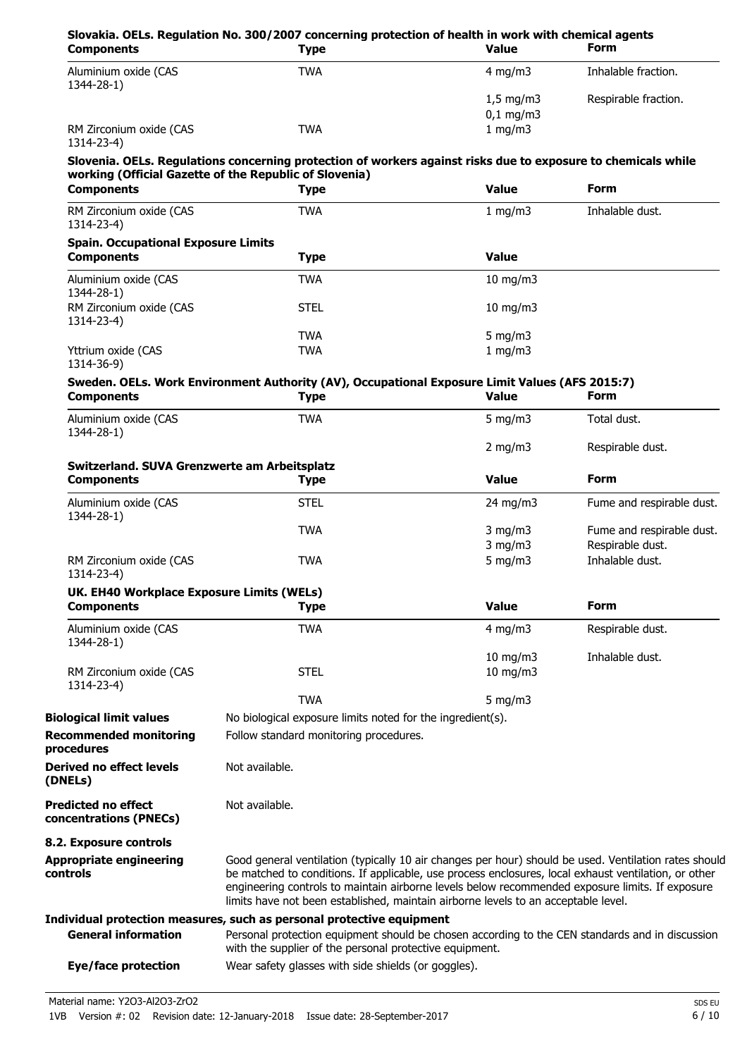| <b>Components</b>                                    | <b>Type</b>                                                                                                                                                                                                   | <b>Value</b>       | <b>Form</b>               |
|------------------------------------------------------|---------------------------------------------------------------------------------------------------------------------------------------------------------------------------------------------------------------|--------------------|---------------------------|
| Aluminium oxide (CAS<br>1344-28-1)                   | <b>TWA</b>                                                                                                                                                                                                    | 4 mg/m $3$         | Inhalable fraction.       |
|                                                      |                                                                                                                                                                                                               | $1,5 \text{ mg/m}$ | Respirable fraction.      |
|                                                      |                                                                                                                                                                                                               | $0,1$ mg/m3        |                           |
| RM Zirconium oxide (CAS<br>1314-23-4)                | <b>TWA</b>                                                                                                                                                                                                    | 1 mg/m3            |                           |
|                                                      | Slovenia. OELs. Regulations concerning protection of workers against risks due to exposure to chemicals while<br>working (Official Gazette of the Republic of Slovenia)                                       |                    |                           |
| <b>Components</b>                                    | <b>Type</b>                                                                                                                                                                                                   | <b>Value</b>       | <b>Form</b>               |
| RM Zirconium oxide (CAS<br>1314-23-4)                | <b>TWA</b>                                                                                                                                                                                                    | 1 mg/m3            | Inhalable dust.           |
| <b>Spain. Occupational Exposure Limits</b>           |                                                                                                                                                                                                               |                    |                           |
| <b>Components</b>                                    | <b>Type</b>                                                                                                                                                                                                   | <b>Value</b>       |                           |
| Aluminium oxide (CAS<br>1344-28-1)                   | <b>TWA</b>                                                                                                                                                                                                    | $10$ mg/m $3$      |                           |
| RM Zirconium oxide (CAS<br>1314-23-4)                | <b>STEL</b>                                                                                                                                                                                                   | $10$ mg/m $3$      |                           |
|                                                      | <b>TWA</b>                                                                                                                                                                                                    | 5 mg/m $3$         |                           |
| Yttrium oxide (CAS<br>1314-36-9)                     | <b>TWA</b>                                                                                                                                                                                                    | $1$ mg/m $3$       |                           |
| <b>Components</b>                                    | Sweden. OELs. Work Environment Authority (AV), Occupational Exposure Limit Values (AFS 2015:7)<br><b>Type</b>                                                                                                 | <b>Value</b>       | <b>Form</b>               |
| Aluminium oxide (CAS                                 | <b>TWA</b>                                                                                                                                                                                                    | 5 mg/m $3$         | Total dust.               |
| 1344-28-1)                                           |                                                                                                                                                                                                               | $2$ mg/m $3$       | Respirable dust.          |
| Switzerland. SUVA Grenzwerte am Arbeitsplatz         |                                                                                                                                                                                                               |                    |                           |
| <b>Components</b>                                    | <b>Type</b>                                                                                                                                                                                                   | <b>Value</b>       | <b>Form</b>               |
| Aluminium oxide (CAS<br>1344-28-1)                   | <b>STEL</b>                                                                                                                                                                                                   | $24 \text{ mg/m}$  | Fume and respirable dust. |
|                                                      | <b>TWA</b>                                                                                                                                                                                                    | $3$ mg/m $3$       | Fume and respirable dust. |
|                                                      |                                                                                                                                                                                                               | $3$ mg/m $3$       | Respirable dust.          |
| RM Zirconium oxide (CAS<br>1314-23-4)                | <b>TWA</b>                                                                                                                                                                                                    | 5 mg/m $3$         | Inhalable dust.           |
| UK. EH40 Workplace Exposure Limits (WELs)            |                                                                                                                                                                                                               |                    |                           |
| <b>Components</b>                                    | <b>Type</b>                                                                                                                                                                                                   | <b>Value</b>       | <b>Form</b>               |
| Aluminium oxide (CAS                                 | <b>TWA</b>                                                                                                                                                                                                    | $4$ mg/m $3$       | Respirable dust.          |
| 1344-28-1)                                           |                                                                                                                                                                                                               | 10 mg/m3           | Inhalable dust.           |
| RM Zirconium oxide (CAS                              | <b>STEL</b>                                                                                                                                                                                                   | $10$ mg/m $3$      |                           |
| 1314-23-4)                                           | <b>TWA</b>                                                                                                                                                                                                    | 5 mg/m $3$         |                           |
| <b>Biological limit values</b>                       | No biological exposure limits noted for the ingredient(s).                                                                                                                                                    |                    |                           |
| <b>Recommended monitoring</b><br>procedures          | Follow standard monitoring procedures.                                                                                                                                                                        |                    |                           |
| <b>Derived no effect levels</b><br>(DNELs)           | Not available.                                                                                                                                                                                                |                    |                           |
| <b>Predicted no effect</b><br>concentrations (PNECs) | Not available.                                                                                                                                                                                                |                    |                           |
| 8.2. Exposure controls                               |                                                                                                                                                                                                               |                    |                           |
| <b>Appropriate engineering</b><br>controls           | Good general ventilation (typically 10 air changes per hour) should be used. Ventilation rates should<br>be matched to conditions. If applicable, use process enclosures, local exhaust ventilation, or other |                    |                           |
|                                                      | engineering controls to maintain airborne levels below recommended exposure limits. If exposure<br>limits have not been established, maintain airborne levels to an acceptable level.                         |                    |                           |
|                                                      | Individual protection measures, such as personal protective equipment                                                                                                                                         |                    |                           |
| <b>General information</b>                           | Personal protection equipment should be chosen according to the CEN standards and in discussion<br>with the supplier of the personal protective equipment.                                                    |                    |                           |

**Eye/face protection** Wear safety glasses with side shields (or goggles).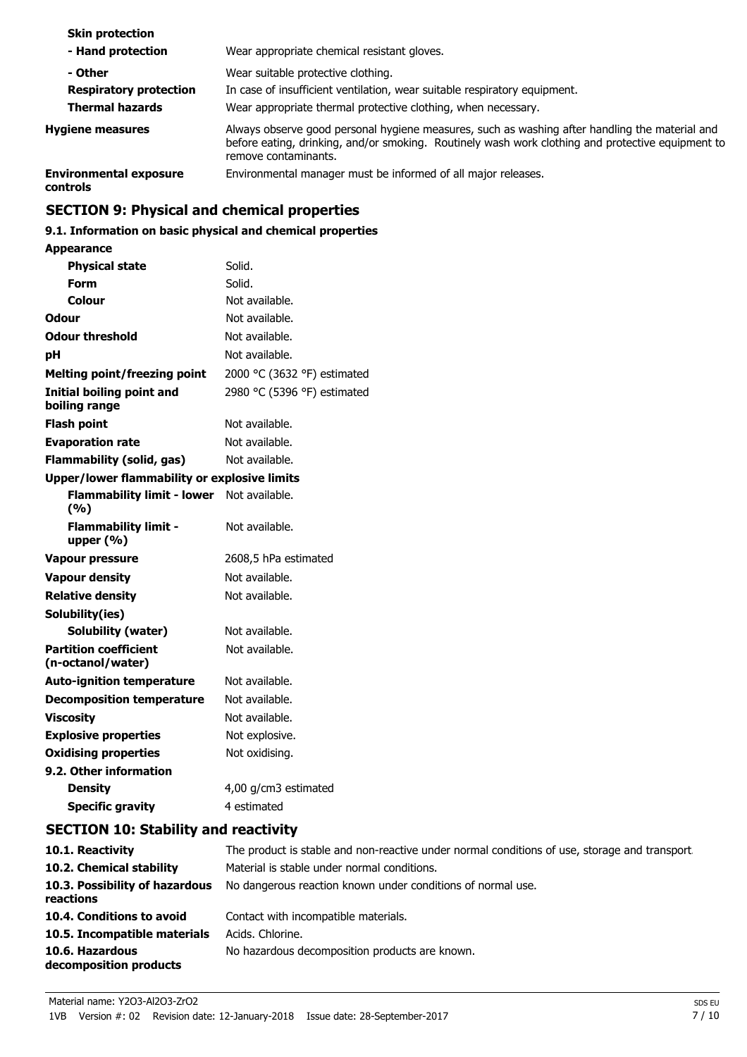| <b>Skin protection</b>                    |                                                                                                                                                                                                                             |
|-------------------------------------------|-----------------------------------------------------------------------------------------------------------------------------------------------------------------------------------------------------------------------------|
| - Hand protection                         | Wear appropriate chemical resistant gloves.                                                                                                                                                                                 |
| - Other                                   | Wear suitable protective clothing.                                                                                                                                                                                          |
| <b>Respiratory protection</b>             | In case of insufficient ventilation, wear suitable respiratory equipment.                                                                                                                                                   |
| <b>Thermal hazards</b>                    | Wear appropriate thermal protective clothing, when necessary.                                                                                                                                                               |
| <b>Hygiene measures</b>                   | Always observe good personal hygiene measures, such as washing after handling the material and<br>before eating, drinking, and/or smoking. Routinely wash work clothing and protective equipment to<br>remove contaminants. |
| <b>Environmental exposure</b><br>controls | Environmental manager must be informed of all major releases.                                                                                                                                                               |

# **SECTION 9: Physical and chemical properties**

# **9.1. Information on basic physical and chemical properties**

# **Appearance**

| <b>Physical state</b>                             | Solid.                      |
|---------------------------------------------------|-----------------------------|
| Form                                              | Solid.                      |
| Colour                                            | Not available.              |
| Odour                                             | Not available.              |
| <b>Odour threshold</b>                            | Not available.              |
| pH                                                | Not available.              |
| <b>Melting point/freezing point</b>               | 2000 °C (3632 °F) estimated |
| Initial boiling point and<br>boiling range        | 2980 °C (5396 °F) estimated |
| <b>Flash point</b>                                | Not available.              |
| <b>Evaporation rate</b>                           | Not available.              |
| <b>Flammability (solid, gas)</b>                  | Not available.              |
| Upper/lower flammability or explosive limits      |                             |
| <b>Flammability limit - lower</b><br>(%)          | Not available.              |
| <b>Flammability limit -</b><br>upper $(% )$       | Not available.              |
| <b>Vapour pressure</b>                            | 2608,5 hPa estimated        |
| <b>Vapour density</b>                             | Not available.              |
| <b>Relative density</b>                           | Not available.              |
| Solubility(ies)                                   |                             |
| Solubility (water)                                | Not available.              |
| <b>Partition coefficient</b><br>(n-octanol/water) | Not available.              |
| <b>Auto-ignition temperature</b>                  | Not available.              |
| <b>Decomposition temperature</b>                  | Not available.              |
| <b>Viscosity</b>                                  | Not available.              |
| <b>Explosive properties</b>                       | Not explosive.              |
| <b>Oxidising properties</b>                       | Not oxidising.              |
| 9.2. Other information                            |                             |
| <b>Density</b>                                    | 4,00 g/cm3 estimated        |
| <b>Specific gravity</b>                           | 4 estimated                 |

# **SECTION 10: Stability and reactivity**

| 10.1. Reactivity                            | The product is stable and non-reactive under normal conditions of use, storage and transport |
|---------------------------------------------|----------------------------------------------------------------------------------------------|
| 10.2. Chemical stability                    | Material is stable under normal conditions.                                                  |
| 10.3. Possibility of hazardous<br>reactions | No dangerous reaction known under conditions of normal use.                                  |
| 10.4. Conditions to avoid                   | Contact with incompatible materials.                                                         |
| 10.5. Incompatible materials                | Acids. Chlorine.                                                                             |
| 10.6. Hazardous<br>decomposition products   | No hazardous decomposition products are known.                                               |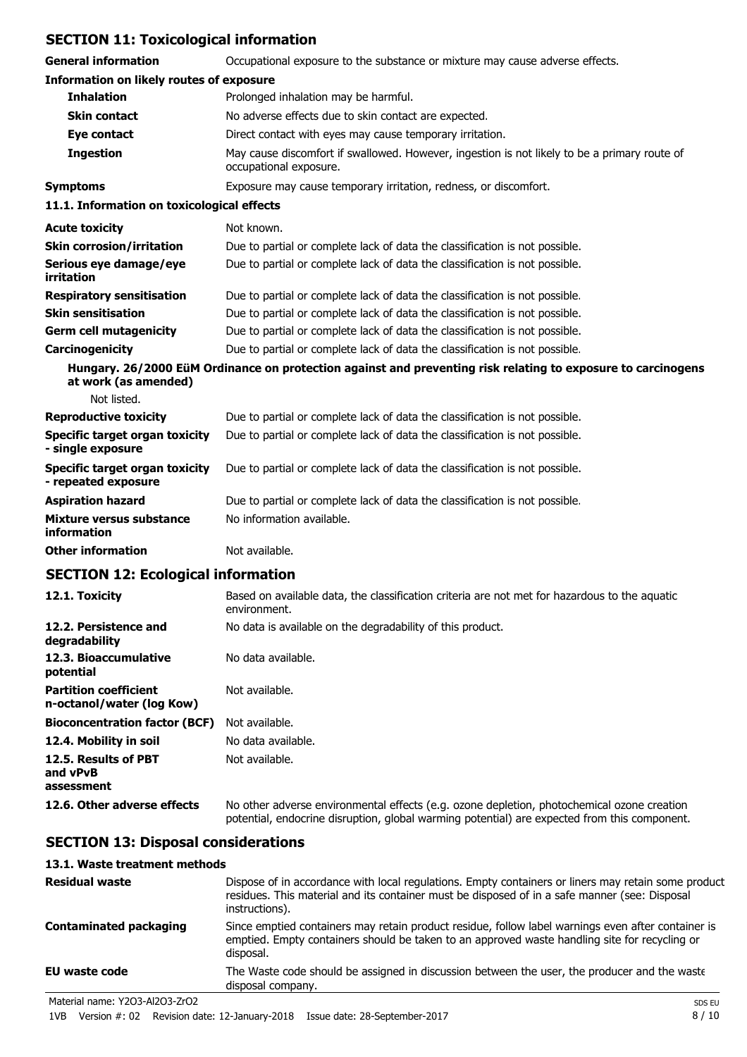# **SECTION 11: Toxicological information**

| <b>General information</b>                                   | Occupational exposure to the substance or mixture may cause adverse effects.                                                                                                               |
|--------------------------------------------------------------|--------------------------------------------------------------------------------------------------------------------------------------------------------------------------------------------|
| <b>Information on likely routes of exposure</b>              |                                                                                                                                                                                            |
| <b>Inhalation</b>                                            | Prolonged inhalation may be harmful.                                                                                                                                                       |
| <b>Skin contact</b>                                          | No adverse effects due to skin contact are expected.                                                                                                                                       |
| Eye contact                                                  | Direct contact with eyes may cause temporary irritation.                                                                                                                                   |
| <b>Ingestion</b>                                             | May cause discomfort if swallowed. However, ingestion is not likely to be a primary route of<br>occupational exposure.                                                                     |
| <b>Symptoms</b>                                              | Exposure may cause temporary irritation, redness, or discomfort.                                                                                                                           |
| 11.1. Information on toxicological effects                   |                                                                                                                                                                                            |
| <b>Acute toxicity</b>                                        | Not known.                                                                                                                                                                                 |
| <b>Skin corrosion/irritation</b>                             | Due to partial or complete lack of data the classification is not possible.                                                                                                                |
| Serious eye damage/eye<br>irritation                         | Due to partial or complete lack of data the classification is not possible.                                                                                                                |
| <b>Respiratory sensitisation</b>                             | Due to partial or complete lack of data the classification is not possible.                                                                                                                |
| <b>Skin sensitisation</b>                                    | Due to partial or complete lack of data the classification is not possible.                                                                                                                |
| <b>Germ cell mutagenicity</b>                                | Due to partial or complete lack of data the classification is not possible.                                                                                                                |
| Carcinogenicity                                              | Due to partial or complete lack of data the classification is not possible.                                                                                                                |
| at work (as amended)                                         | Hungary. 26/2000 EüM Ordinance on protection against and preventing risk relating to exposure to carcinogens                                                                               |
| Not listed.                                                  |                                                                                                                                                                                            |
| <b>Reproductive toxicity</b>                                 | Due to partial or complete lack of data the classification is not possible.                                                                                                                |
| <b>Specific target organ toxicity</b><br>- single exposure   | Due to partial or complete lack of data the classification is not possible.                                                                                                                |
| <b>Specific target organ toxicity</b><br>- repeated exposure | Due to partial or complete lack of data the classification is not possible.                                                                                                                |
| <b>Aspiration hazard</b>                                     | Due to partial or complete lack of data the classification is not possible.                                                                                                                |
| <b>Mixture versus substance</b><br>information               | No information available.                                                                                                                                                                  |
| <b>Other information</b>                                     | Not available.                                                                                                                                                                             |
| <b>SECTION 12: Ecological information</b>                    |                                                                                                                                                                                            |
| 12.1. Toxicity                                               | Based on available data, the classification criteria are not met for hazardous to the aquatic<br>environment.                                                                              |
| 12.2. Persistence and<br>degradability                       | No data is available on the degradability of this product.                                                                                                                                 |
| 12.3. Bioaccumulative<br>potential                           | No data available.                                                                                                                                                                         |
| <b>Partition coefficient</b><br>n-octanol/water (log Kow)    | Not available.                                                                                                                                                                             |
| <b>Bioconcentration factor (BCF)</b>                         | Not available.                                                                                                                                                                             |
| 12.4. Mobility in soil                                       | No data available.                                                                                                                                                                         |
| 12.5. Results of PBT<br>and vPvB                             | Not available.                                                                                                                                                                             |
| assessment                                                   |                                                                                                                                                                                            |
| 12.6. Other adverse effects                                  | No other adverse environmental effects (e.g. ozone depletion, photochemical ozone creation<br>potential, endocrine disruption, global warming potential) are expected from this component. |
| <b>SECTION 13: Disposal considerations</b>                   |                                                                                                                                                                                            |

# **13.1. Waste treatment methods**

| <b>Residual waste</b>          | Dispose of in accordance with local regulations. Empty containers or liners may retain some product<br>residues. This material and its container must be disposed of in a safe manner (see: Disposal<br>instructions). |
|--------------------------------|------------------------------------------------------------------------------------------------------------------------------------------------------------------------------------------------------------------------|
| <b>Contaminated packaging</b>  | Since emptied containers may retain product residue, follow label warnings even after container is<br>emptied. Empty containers should be taken to an approved waste handling site for recycling or<br>disposal.       |
| EU waste code                  | The Waste code should be assigned in discussion between the user, the producer and the waste<br>disposal company.                                                                                                      |
| Material name: Y2O3-Al2O3-ZrO2 | SDS EU                                                                                                                                                                                                                 |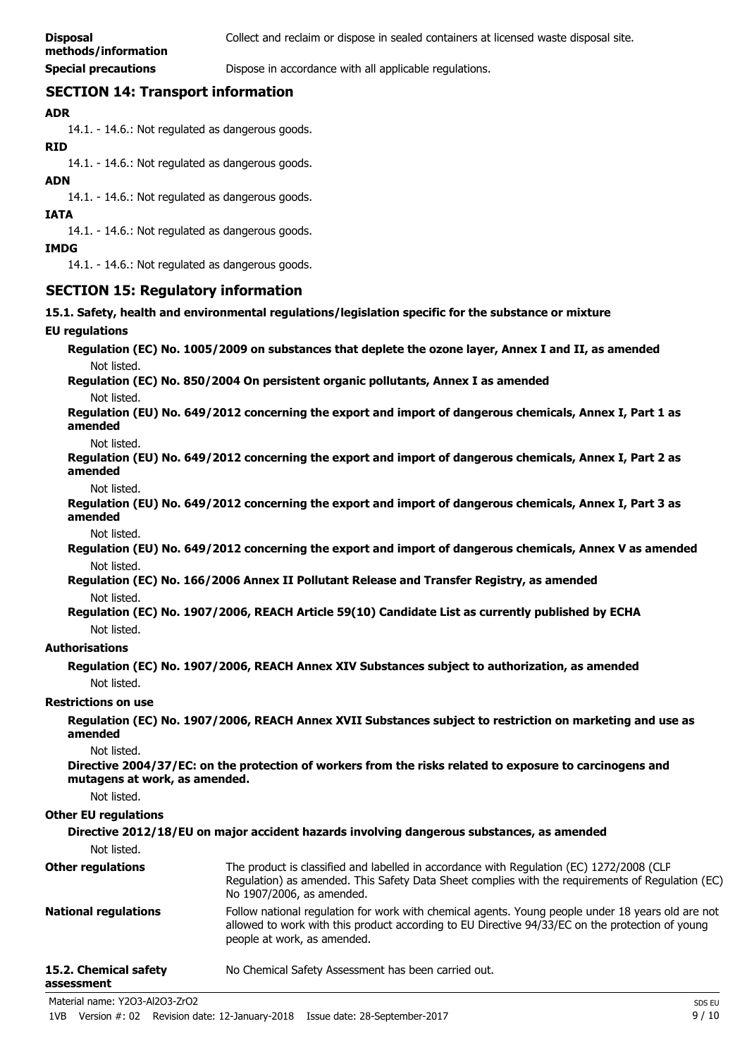# **methods/information**

**Special precautions Dispose in accordance with all applicable regulations.** 

# **SECTION 14: Transport information**

## **ADR**

14.1. - 14.6.: Not regulated as dangerous goods.

**RID**

14.1. - 14.6.: Not regulated as dangerous goods.

## **ADN**

14.1. - 14.6.: Not regulated as dangerous goods.

**IATA**

14.1. - 14.6.: Not regulated as dangerous goods.

**IMDG**

14.1. - 14.6.: Not regulated as dangerous goods.

# **SECTION 15: Regulatory information**

#### **15.1. Safety, health and environmental regulations/legislation specific for the substance or mixture**

#### **EU regulations**

**Regulation (EC) No. 1005/2009 on substances that deplete the ozone layer, Annex I and II, as amended** Not listed.

**Regulation (EC) No. 850/2004 On persistent organic pollutants, Annex I as amended** Not listed.

**Regulation (EU) No. 649/2012 concerning the export and import of dangerous chemicals, Annex I, Part 1 as amended**

Not listed.

**Regulation (EU) No. 649/2012 concerning the export and import of dangerous chemicals, Annex I, Part 2 as amended**

Not listed.

**Regulation (EU) No. 649/2012 concerning the export and import of dangerous chemicals, Annex I, Part 3 as amended**

Not listed.

**Regulation (EU) No. 649/2012 concerning the export and import of dangerous chemicals, Annex V as amended** Not listed.

**Regulation (EC) No. 166/2006 Annex II Pollutant Release and Transfer Registry, as amended** Not listed.

#### **Regulation (EC) No. 1907/2006, REACH Article 59(10) Candidate List as currently published by ECHA** Not listed.

#### **Authorisations**

**Regulation (EC) No. 1907/2006, REACH Annex XIV Substances subject to authorization, as amended** Not listed.

#### **Restrictions on use**

**Regulation (EC) No. 1907/2006, REACH Annex XVII Substances subject to restriction on marketing and use as amended**

Not listed.

**Directive 2004/37/EC: on the protection of workers from the risks related to exposure to carcinogens and mutagens at work, as amended.**

Not listed.

#### **Other EU regulations**

**Directive 2012/18/EU on major accident hazards involving dangerous substances, as amended**

Not listed.

| Other regulations     | The product is classified and labelled in accordance with Regulation (EC) 1272/2008 (CLP<br>Regulation) as amended. This Safety Data Sheet complies with the requirements of Regulation (EC)<br>No 1907/2006, as amended.           |
|-----------------------|-------------------------------------------------------------------------------------------------------------------------------------------------------------------------------------------------------------------------------------|
| National regulations  | Follow national regulation for work with chemical agents. Young people under 18 years old are not<br>allowed to work with this product according to EU Directive 94/33/EC on the protection of young<br>people at work, as amended. |
| 15.2. Chemical safety | No Chemical Safety Assessment has been carried out.                                                                                                                                                                                 |